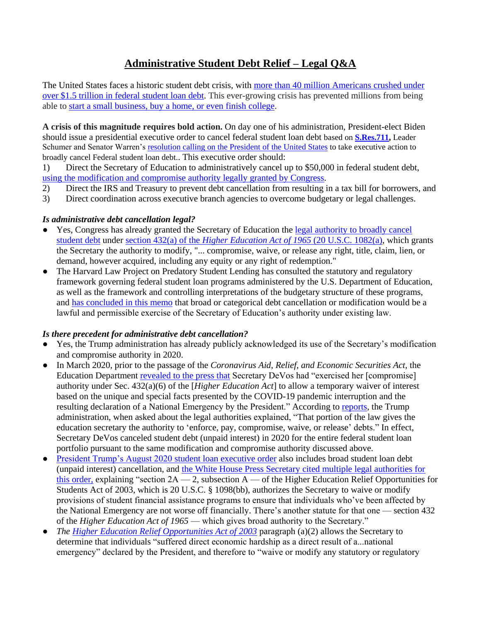# **Administrative Student Debt Relief – Legal Q&A**

The United States faces a historic student debt crisis, with [more than 40 million Americans crushed under](https://www.dataforprogress.org/blog/2020/9/17/the-president-doesnt-need-congress-to-cancel-student-loan-debt-democrats-will-push-for-action-in-2021)  [over \\$1.5 trillion in federal student loan debt.](https://www.dataforprogress.org/blog/2020/9/17/the-president-doesnt-need-congress-to-cancel-student-loan-debt-democrats-will-push-for-action-in-2021) This ever-growing crisis has prevented millions from being able to [start a small business, buy a home, or even finish college.](https://www.dataforprogress.org/blog/2020/9/17/the-president-doesnt-need-congress-to-cancel-student-loan-debt-democrats-will-push-for-action-in-2021)

**A crisis of this magnitude requires bold action.** On day one of his administration, President-elect Biden should issue a presidential executive order to cancel federal student loan debt based on **[S.Res.711,](https://www.congress.gov/bill/116th-congress/senate-resolution/711)** Leader Schumer and Senator Warren's [resolution calling on the President](https://www.warren.senate.gov/newsroom/press-releases/schumer-warren-the-next-president-can-and-should-cancel-up-to-50000-in-student-loan-debt-immediately-democrats-outline-plan-for-immediate-action-in-2021) of the United States to take executive action to broadly cancel Federal student loan debt.. This executive order should:

1) Direct the Secretary of Education to administratively cancel up to \$50,000 in federal student debt[,](https://www.warren.senate.gov/imo/media/doc/Ltr%20to%20Warren%20re%20admin%20debt%20cancellation.pdf) using the modification and compromise authority legally granted by Congress.

- 2) Direct the IRS and Treasury to prevent debt cancellation from resulting in a tax bill for borrowers, and
- 3) Direct coordination across executive branch agencies to overcome budgetary or legal challenges.

#### *Is administrative debt cancellation legal?*

- Yes, Congress has already granted the Secretary of Education the legal authority to broadly cancel [student debt](http://ct.symplicity.com/t/wrn/79a639354a740a81678ce3a5e02dd045/3769411739/realurl=https:/www.warren.senate.gov/imo/media/doc/Ltr%20to%20Warren%20re%20admin%20debt%20cancellation.pdf) under section 432(a) of the *[Higher Education Act of 1965](https://www.law.cornell.edu/uscode/text/20/1082#:~:text=Legal%20powers%20and%20responsibilities,-U.S.%20Code&text=enforce%2C%20pay%2C%20compromise%2C%20waive,or%20any%20right%20of%20redemption.)* (20 U.S.C. 1082(a), which grants the Secretary the authority to modify, "... compromise, waive, or release any right, title, claim, lien, or demand, however acquired, including any equity or any right of redemption."
- The Harvard Law Project on Predatory Student Lending has consulted the statutory and regulatory framework governing federal student loan programs administered by the U.S. Department of Education, as well as the framework and controlling interpretations of the budgetary structure of these programs, and [has concluded in this memo](https://www.warren.senate.gov/imo/media/doc/Ltr%20to%20Warren%20re%20admin%20debt%20cancellation.pdf) that broad or categorical debt cancellation or modification would be a lawful and permissible exercise of the Secretary of Education's authority under existing law.

#### *Is there precedent for administrative debt cancellation?*

- Yes, the Trump administration has already publicly acknowledged its use of the Secretary's modification and compromise authority in 2020.
- In March 2020, prior to the passage of the *Coronavirus Aid, Relief, and Economic Securities Act*, the Education Department [revealed to the press that](https://twitter.com/mstratford/status/1291921349573738496?s=21) Secretary DeVos had "exercised her [compromise] authority under Sec. 432(a)(6) of the [*Higher Education Act*] to allow a temporary waiver of interest based on the unique and special facts presented by the COVID-19 pandemic interruption and the resulting declaration of a National Emergency by the President." According to [reports,](https://www.politico.com/news/2020/08/07/trump-student-loan-payments-392682) the Trump administration, when asked about the legal authorities explained, "That portion of the law gives the education secretary the authority to 'enforce, pay, compromise, waive, or release' debts." In effect, Secretary DeVos canceled student debt (unpaid interest) in 2020 for the entire federal student loan portfolio pursuant to the same modification and compromise authority discussed above.
- [President Trump's August 2020 student loan executive order](https://www.whitehouse.gov/presidential-actions/memorandum-continued-student-loan-payment-relief-covid-19-pandemic/) also includes broad student loan debt (unpaid interest) cancellation, and [the White House Press Secretary cited multiple legal authorities for](https://www.whitehouse.gov/briefings-statements/press-briefing-press-secretary-kayleigh-mcenany-8-10-2020)  [this order,](https://www.whitehouse.gov/briefings-statements/press-briefing-press-secretary-kayleigh-mcenany-8-10-2020) explaining "section  $2A - 2$ , subsection  $A - 0$  the Higher Education Relief Opportunities for Students Act of 2003, which is 20 U.S.C. § 1098(bb), authorizes the Secretary to waive or modify provisions of student financial assistance programs to ensure that individuals who've been affected by the National Emergency are not worse off financially. There's another statute for that one — section 432 of the *Higher Education Act of 1965* — which gives broad authority to the Secretary."
- *The <u>Higher Education Relief Opportunities Act of 2003</u> paragraph (a)(2) allows the Secretary to* determine that individuals "suffered direct economic hardship as a direct result of a...national emergency" declared by the President, and therefore to "waive or modify any statutory or regulatory